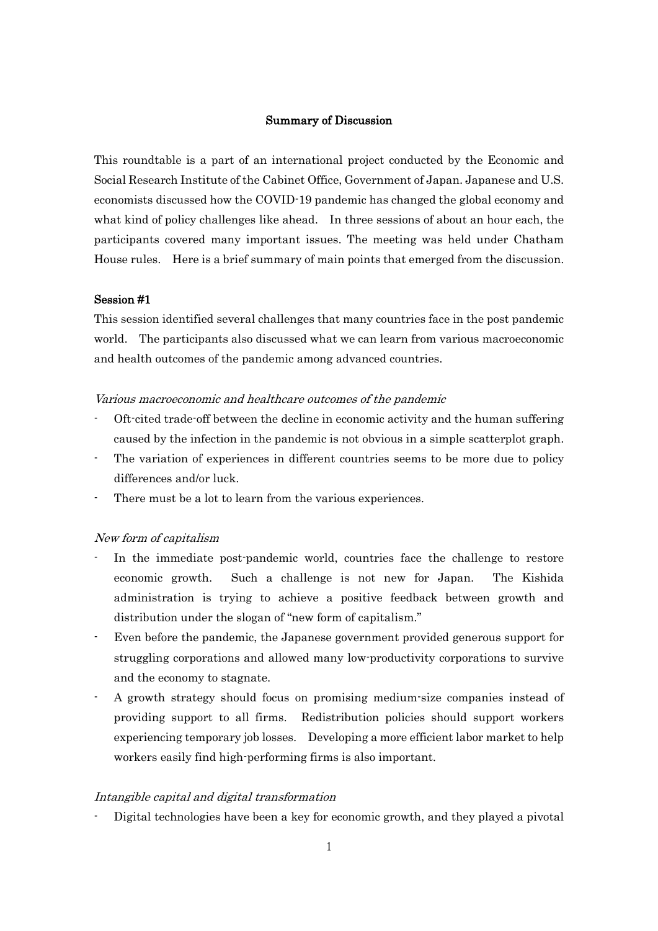### Summary of Discussion

This roundtable is a part of an international project conducted by the Economic and Social Research Institute of the Cabinet Office, Government of Japan. Japanese and U.S. economists discussed how the COVID-19 pandemic has changed the global economy and what kind of policy challenges like ahead. In three sessions of about an hour each, the participants covered many important issues. The meeting was held under Chatham House rules. Here is a brief summary of main points that emerged from the discussion.

## Session #1

This session identified several challenges that many countries face in the post pandemic world. The participants also discussed what we can learn from various macroeconomic and health outcomes of the pandemic among advanced countries.

#### Various macroeconomic and healthcare outcomes of the pandemic

- Oft-cited trade-off between the decline in economic activity and the human suffering caused by the infection in the pandemic is not obvious in a simple scatterplot graph.
- The variation of experiences in different countries seems to be more due to policy differences and/or luck.
- There must be a lot to learn from the various experiences.

#### New form of capitalism

- In the immediate post-pandemic world, countries face the challenge to restore economic growth. Such a challenge is not new for Japan. The Kishida administration is trying to achieve a positive feedback between growth and distribution under the slogan of "new form of capitalism."
- Even before the pandemic, the Japanese government provided generous support for struggling corporations and allowed many low-productivity corporations to survive and the economy to stagnate.
- A growth strategy should focus on promising medium-size companies instead of providing support to all firms. Redistribution policies should support workers experiencing temporary job losses. Developing a more efficient labor market to help workers easily find high-performing firms is also important.

### Intangible capital and digital transformation

Digital technologies have been a key for economic growth, and they played a pivotal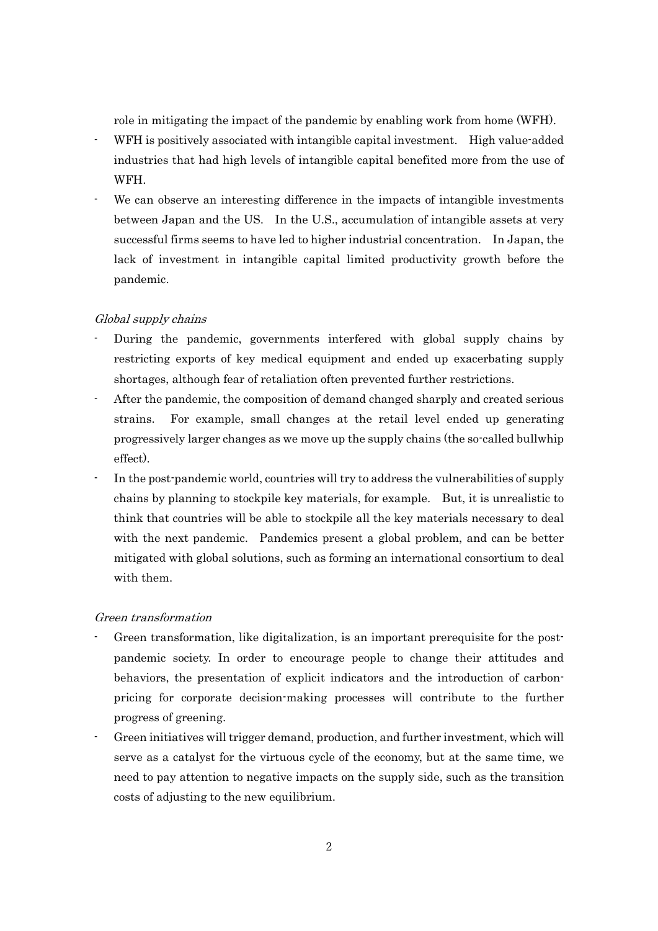role in mitigating the impact of the pandemic by enabling work from home (WFH).

- WFH is positively associated with intangible capital investment. High value-added industries that had high levels of intangible capital benefited more from the use of WFH.
- We can observe an interesting difference in the impacts of intangible investments between Japan and the US. In the U.S., accumulation of intangible assets at very successful firms seems to have led to higher industrial concentration. In Japan, the lack of investment in intangible capital limited productivity growth before the pandemic.

# Global supply chains

- During the pandemic, governments interfered with global supply chains by restricting exports of key medical equipment and ended up exacerbating supply shortages, although fear of retaliation often prevented further restrictions.
- After the pandemic, the composition of demand changed sharply and created serious strains. For example, small changes at the retail level ended up generating progressively larger changes as we move up the supply chains (the so-called bullwhip effect).
- In the post-pandemic world, countries will try to address the vulnerabilities of supply chains by planning to stockpile key materials, for example. But, it is unrealistic to think that countries will be able to stockpile all the key materials necessary to deal with the next pandemic. Pandemics present a global problem, and can be better mitigated with global solutions, such as forming an international consortium to deal with them.

### Green transformation

- Green transformation, like digitalization, is an important prerequisite for the postpandemic society. In order to encourage people to change their attitudes and behaviors, the presentation of explicit indicators and the introduction of carbonpricing for corporate decision-making processes will contribute to the further progress of greening.
- Green initiatives will trigger demand, production, and further investment, which will serve as a catalyst for the virtuous cycle of the economy, but at the same time, we need to pay attention to negative impacts on the supply side, such as the transition costs of adjusting to the new equilibrium.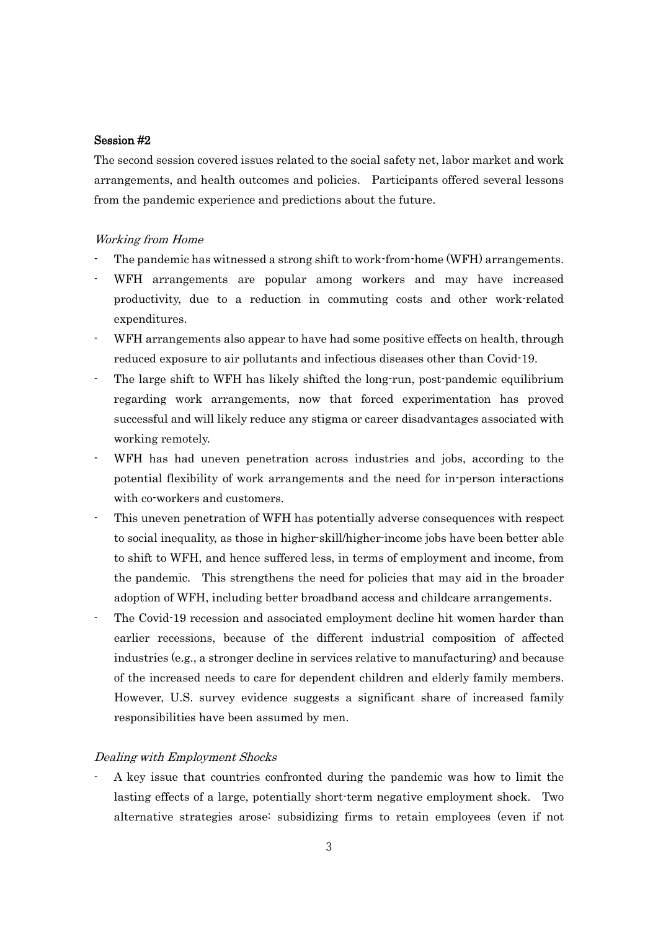## Session #2

The second session covered issues related to the social safety net, labor market and work arrangements, and health outcomes and policies. Participants offered several lessons from the pandemic experience and predictions about the future.

### Working from Home

- The pandemic has witnessed a strong shift to work-from-home (WFH) arrangements.
- WFH arrangements are popular among workers and may have increased productivity, due to a reduction in commuting costs and other work-related expenditures.
- WFH arrangements also appear to have had some positive effects on health, through reduced exposure to air pollutants and infectious diseases other than Covid-19.
- The large shift to WFH has likely shifted the long-run, post-pandemic equilibrium regarding work arrangements, now that forced experimentation has proved successful and will likely reduce any stigma or career disadvantages associated with working remotely.
- WFH has had uneven penetration across industries and jobs, according to the potential flexibility of work arrangements and the need for in-person interactions with co-workers and customers.
- This uneven penetration of WFH has potentially adverse consequences with respect to social inequality, as those in higher-skill/higher-income jobs have been better able to shift to WFH, and hence suffered less, in terms of employment and income, from the pandemic. This strengthens the need for policies that may aid in the broader adoption of WFH, including better broadband access and childcare arrangements.
- The Covid-19 recession and associated employment decline hit women harder than earlier recessions, because of the different industrial composition of affected industries (e.g., a stronger decline in services relative to manufacturing) and because of the increased needs to care for dependent children and elderly family members. However, U.S. survey evidence suggests a significant share of increased family responsibilities have been assumed by men.

# Dealing with Employment Shocks

- A key issue that countries confronted during the pandemic was how to limit the lasting effects of a large, potentially short-term negative employment shock. Two alternative strategies arose: subsidizing firms to retain employees (even if not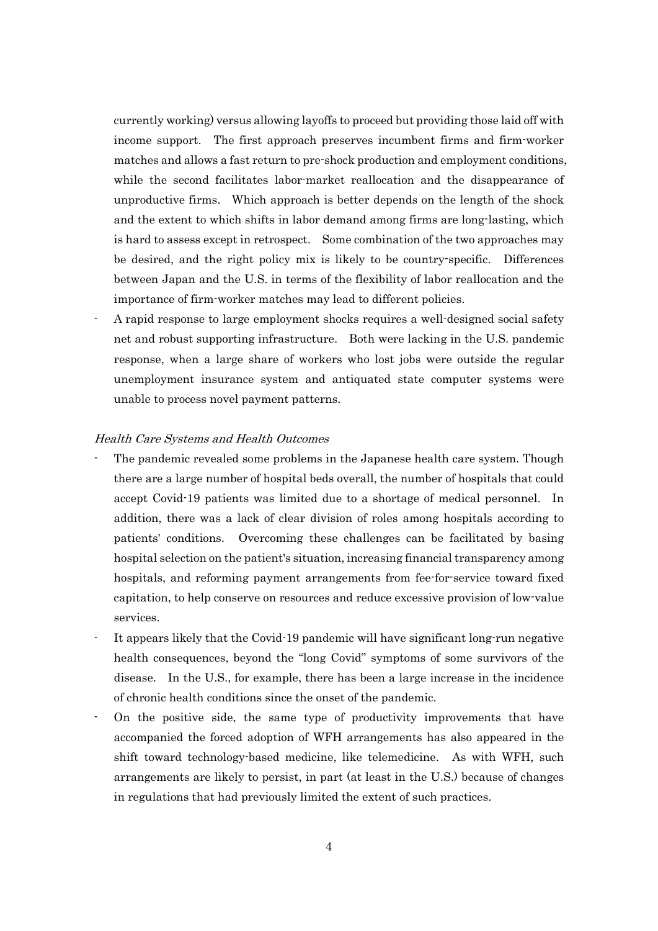currently working) versus allowing layoffs to proceed but providing those laid off with income support. The first approach preserves incumbent firms and firm-worker matches and allows a fast return to pre-shock production and employment conditions, while the second facilitates labor-market reallocation and the disappearance of unproductive firms. Which approach is better depends on the length of the shock and the extent to which shifts in labor demand among firms are long-lasting, which is hard to assess except in retrospect. Some combination of the two approaches may be desired, and the right policy mix is likely to be country-specific. Differences between Japan and the U.S. in terms of the flexibility of labor reallocation and the importance of firm-worker matches may lead to different policies.

- A rapid response to large employment shocks requires a well-designed social safety net and robust supporting infrastructure. Both were lacking in the U.S. pandemic response, when a large share of workers who lost jobs were outside the regular unemployment insurance system and antiquated state computer systems were unable to process novel payment patterns.

### Health Care Systems and Health Outcomes

- The pandemic revealed some problems in the Japanese health care system. Though there are a large number of hospital beds overall, the number of hospitals that could accept Covid-19 patients was limited due to a shortage of medical personnel. In addition, there was a lack of clear division of roles among hospitals according to patients' conditions. Overcoming these challenges can be facilitated by basing hospital selection on the patient's situation, increasing financial transparency among hospitals, and reforming payment arrangements from fee-for-service toward fixed capitation, to help conserve on resources and reduce excessive provision of low-value services.
- It appears likely that the Covid-19 pandemic will have significant long-run negative health consequences, beyond the "long Covid" symptoms of some survivors of the disease. In the U.S., for example, there has been a large increase in the incidence of chronic health conditions since the onset of the pandemic.
- On the positive side, the same type of productivity improvements that have accompanied the forced adoption of WFH arrangements has also appeared in the shift toward technology-based medicine, like telemedicine. As with WFH, such arrangements are likely to persist, in part (at least in the U.S.) because of changes in regulations that had previously limited the extent of such practices.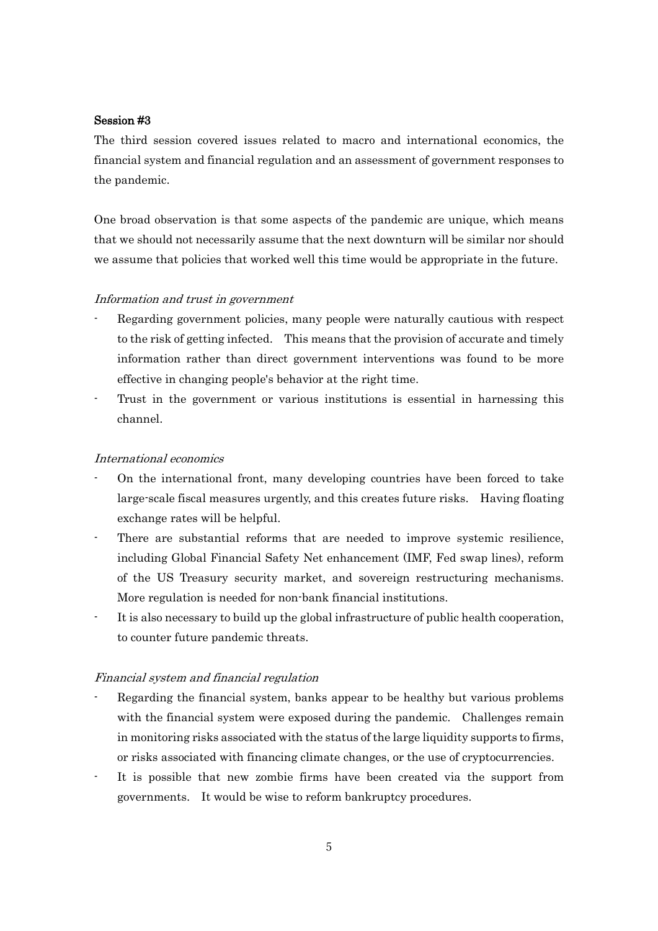### Session #3

The third session covered issues related to macro and international economics, the financial system and financial regulation and an assessment of government responses to the pandemic.

One broad observation is that some aspects of the pandemic are unique, which means that we should not necessarily assume that the next downturn will be similar nor should we assume that policies that worked well this time would be appropriate in the future.

### Information and trust in government

- Regarding government policies, many people were naturally cautious with respect to the risk of getting infected. This means that the provision of accurate and timely information rather than direct government interventions was found to be more effective in changing people's behavior at the right time.
- Trust in the government or various institutions is essential in harnessing this channel.

# International economics

- On the international front, many developing countries have been forced to take large-scale fiscal measures urgently, and this creates future risks. Having floating exchange rates will be helpful.
- There are substantial reforms that are needed to improve systemic resilience, including Global Financial Safety Net enhancement (IMF, Fed swap lines), reform of the US Treasury security market, and sovereign restructuring mechanisms. More regulation is needed for non-bank financial institutions.
- It is also necessary to build up the global infrastructure of public health cooperation, to counter future pandemic threats.

#### Financial system and financial regulation

- Regarding the financial system, banks appear to be healthy but various problems with the financial system were exposed during the pandemic. Challenges remain in monitoring risks associated with the status of the large liquidity supports to firms, or risks associated with financing climate changes, or the use of cryptocurrencies.
- It is possible that new zombie firms have been created via the support from governments. It would be wise to reform bankruptcy procedures.